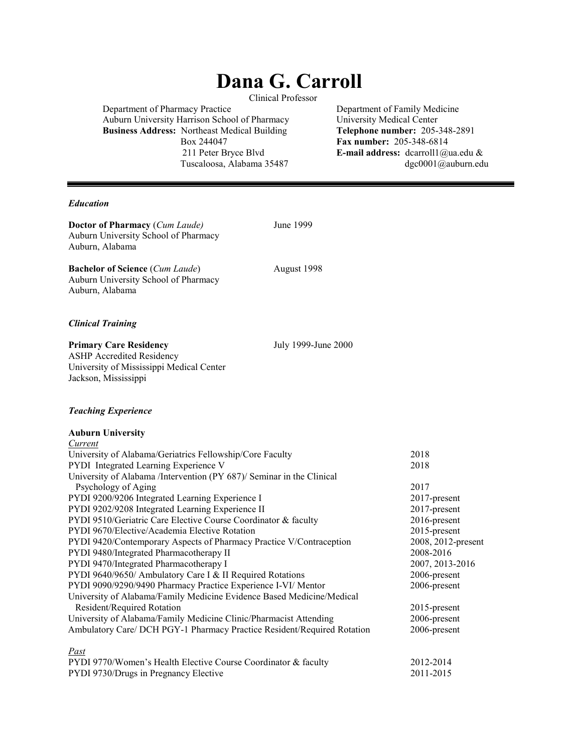# **Dana G. Carroll**

Clinical Professor

Department of Pharmacy Practice Department of Family Medicine Auburn University Harrison School of Pharmacy<br> **Business Address:** Northeast Medical Building<br> **Telephone number:** 205-348-2891 **Business Address: Northeast Medical Building<br>Box 244047** Box 244047 **Fax number:** 205-348-6814<br>211 Peter Bryce Blvd **E-mail address:** dcarroll1@

E-mail address: dcarroll1@ua.edu & Tuscaloosa, Alabama 35487 dgc0001@auburn.edu

#### *Education*

**Doctor of Pharmacy** (*Cum Laude)* June 1999 Auburn University School of Pharmacy Auburn, Alabama

**Bachelor of Science** (*Cum Laude*) August 1998 Auburn University School of Pharmacy Auburn, Alabama

#### *Clinical Training*

**Primary Care Residency** July 1999-June 2000

ASHP Accredited Residency University of Mississippi Medical Center Jackson, Mississippi

#### *Teaching Experience*

#### **Auburn University**

| Current                                                                 |                    |
|-------------------------------------------------------------------------|--------------------|
| University of Alabama/Geriatrics Fellowship/Core Faculty                | 2018               |
| PYDI Integrated Learning Experience V                                   | 2018               |
| University of Alabama /Intervention (PY 687)/ Seminar in the Clinical   |                    |
| Psychology of Aging                                                     | 2017               |
| PYDI 9200/9206 Integrated Learning Experience I                         | 2017-present       |
| PYDI 9202/9208 Integrated Learning Experience II                        | $2017$ -present    |
| PYDI 9510/Geriatric Care Elective Course Coordinator & faculty          | 2016-present       |
| <b>PYDI</b> 9670/Elective/Academia Elective Rotation                    | 2015-present       |
| PYDI 9420/Contemporary Aspects of Pharmacy Practice V/Contraception     | 2008, 2012-present |
| PYDI 9480/Integrated Pharmacotherapy II                                 | 2008-2016          |
| PYDI 9470/Integrated Pharmacotherapy I                                  | 2007, 2013-2016    |
| PYDI 9640/9650/ Ambulatory Care I & II Required Rotations               | 2006-present       |
| PYDI 9090/9290/9490 Pharmacy Practice Experience I-VI/ Mentor           | 2006-present       |
| University of Alabama/Family Medicine Evidence Based Medicine/Medical   |                    |
| Resident/Required Rotation                                              | $2015$ -present    |
| University of Alabama/Family Medicine Clinic/Pharmacist Attending       | 2006-present       |
| Ambulatory Care/ DCH PGY-1 Pharmacy Practice Resident/Required Rotation | 2006-present       |
| Past                                                                    |                    |
| PYDI 9770/Women's Health Elective Course Coordinator & faculty          | 2012-2014          |

PYDI 9730/Drugs in Pregnancy Elective 2011-2015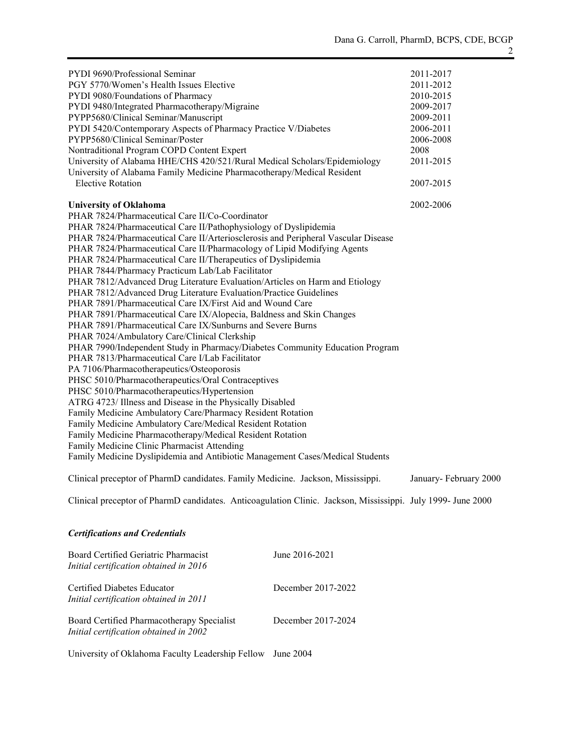| PYDI 9690/Professional Seminar                                                    | 2011-2017 |
|-----------------------------------------------------------------------------------|-----------|
| PGY 5770/Women's Health Issues Elective                                           | 2011-2012 |
| PYDI 9080/Foundations of Pharmacy                                                 | 2010-2015 |
| PYDI 9480/Integrated Pharmacotherapy/Migraine                                     | 2009-2017 |
| PYPP5680/Clinical Seminar/Manuscript                                              | 2009-2011 |
| PYDI 5420/Contemporary Aspects of Pharmacy Practice V/Diabetes                    | 2006-2011 |
| PYPP5680/Clinical Seminar/Poster                                                  | 2006-2008 |
| Nontraditional Program COPD Content Expert                                        | 2008      |
| University of Alabama HHE/CHS 420/521/Rural Medical Scholars/Epidemiology         | 2011-2015 |
| University of Alabama Family Medicine Pharmacotherapy/Medical Resident            |           |
| <b>Elective Rotation</b>                                                          | 2007-2015 |
| <b>University of Oklahoma</b>                                                     | 2002-2006 |
| PHAR 7824/Pharmaceutical Care II/Co-Coordinator                                   |           |
| PHAR 7824/Pharmaceutical Care II/Pathophysiology of Dyslipidemia                  |           |
| PHAR 7824/Pharmaceutical Care II/Arteriosclerosis and Peripheral Vascular Disease |           |
| PHAR 7824/Pharmaceutical Care II/Pharmacology of Lipid Modifying Agents           |           |
| PHAR 7824/Pharmaceutical Care II/Therapeutics of Dyslipidemia                     |           |
| PHAR 7844/Pharmacy Practicum Lab/Lab Facilitator                                  |           |
| PHAR 7812/Advanced Drug Literature Evaluation/Articles on Harm and Etiology       |           |
| PHAR 7812/Advanced Drug Literature Evaluation/Practice Guidelines                 |           |
| PHAR 7891/Pharmaceutical Care IX/First Aid and Wound Care                         |           |
| PHAR 7891/Pharmaceutical Care IX/Alopecia, Baldness and Skin Changes              |           |
| PHAR 7891/Pharmaceutical Care IX/Sunburns and Severe Burns                        |           |
| PHAR 7024/Ambulatory Care/Clinical Clerkship                                      |           |
| PHAR 7990/Independent Study in Pharmacy/Diabetes Community Education Program      |           |
| PHAR 7813/Pharmaceutical Care I/Lab Facilitator                                   |           |
| PA 7106/Pharmacotherapeutics/Osteoporosis                                         |           |
| PHSC 5010/Pharmacotherapeutics/Oral Contraceptives                                |           |
| PHSC 5010/Pharmacotherapeutics/Hypertension                                       |           |
| ATRG 4723/ Illness and Disease in the Physically Disabled                         |           |
| Family Medicine Ambulatory Care/Pharmacy Resident Rotation                        |           |
| Family Medicine Ambulatory Care/Medical Resident Rotation                         |           |
| Family Medicine Pharmacotherapy/Medical Resident Rotation                         |           |
| Family Medicine Clinic Pharmacist Attending                                       |           |
| Family Medicine Dyslipidemia and Antibiotic Management Cases/Medical Students     |           |
|                                                                                   |           |

Clinical preceptor of PharmD candidates. Family Medicine. Jackson, Mississippi. January- February 2000

Clinical preceptor of PharmD candidates. Anticoagulation Clinic. Jackson, Mississippi. July 1999- June 2000

# *Certifications and Credentials*

| Board Certified Geriatric Pharmacist<br>Initial certification obtained in 2016       | June 2016-2021     |
|--------------------------------------------------------------------------------------|--------------------|
| Certified Diabetes Educator<br>Initial certification obtained in 2011                | December 2017-2022 |
| Board Certified Pharmacotherapy Specialist<br>Initial certification obtained in 2002 | December 2017-2024 |

University of Oklahoma Faculty Leadership Fellow June 2004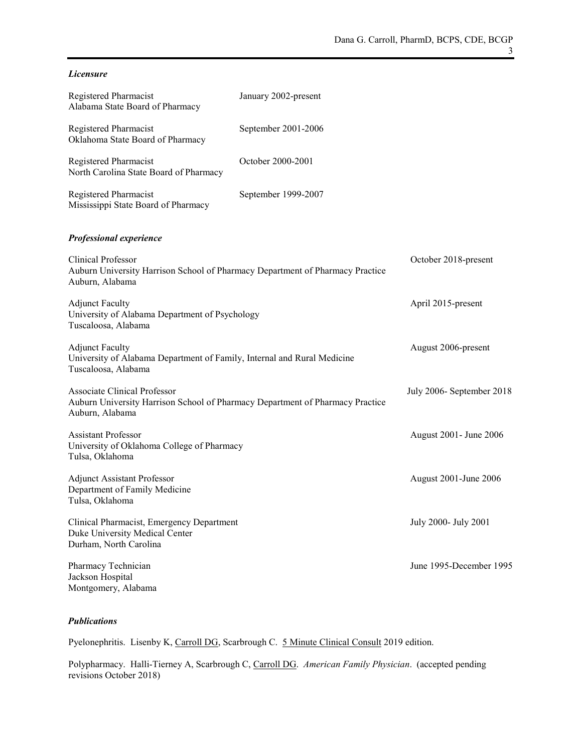#### *Licensure*

| Registered Pharmacist<br>Alabama State Board of Pharmacy                                                                                | January 2002-present |                           |
|-----------------------------------------------------------------------------------------------------------------------------------------|----------------------|---------------------------|
| Registered Pharmacist<br>Oklahoma State Board of Pharmacy                                                                               | September 2001-2006  |                           |
| Registered Pharmacist<br>North Carolina State Board of Pharmacy                                                                         | October 2000-2001    |                           |
| Registered Pharmacist<br>Mississippi State Board of Pharmacy                                                                            | September 1999-2007  |                           |
| Professional experience                                                                                                                 |                      |                           |
| <b>Clinical Professor</b><br>Auburn University Harrison School of Pharmacy Department of Pharmacy Practice<br>Auburn, Alabama           |                      | October 2018-present      |
| <b>Adjunct Faculty</b><br>University of Alabama Department of Psychology<br>Tuscaloosa, Alabama                                         |                      | April 2015-present        |
| <b>Adjunct Faculty</b><br>University of Alabama Department of Family, Internal and Rural Medicine<br>Tuscaloosa, Alabama                |                      | August 2006-present       |
| <b>Associate Clinical Professor</b><br>Auburn University Harrison School of Pharmacy Department of Pharmacy Practice<br>Auburn, Alabama |                      | July 2006- September 2018 |
| <b>Assistant Professor</b><br>University of Oklahoma College of Pharmacy<br>Tulsa, Oklahoma                                             |                      | August 2001 - June 2006   |
| <b>Adjunct Assistant Professor</b><br>Department of Family Medicine<br>Tulsa, Oklahoma                                                  |                      | August 2001-June 2006     |
| Clinical Pharmacist, Emergency Department<br>Duke University Medical Center<br>Durham, North Carolina                                   |                      | July 2000- July 2001      |
| Pharmacy Technician<br>Jackson Hospital<br>Montgomery, Alabama                                                                          |                      | June 1995-December 1995   |

#### *Publications*

Pyelonephritis. Lisenby K, Carroll DG, Scarbrough C. 5 Minute Clinical Consult 2019 edition.

Polypharmacy. Halli-Tierney A, Scarbrough C, Carroll DG. *American Family Physician*. (accepted pending revisions October 2018)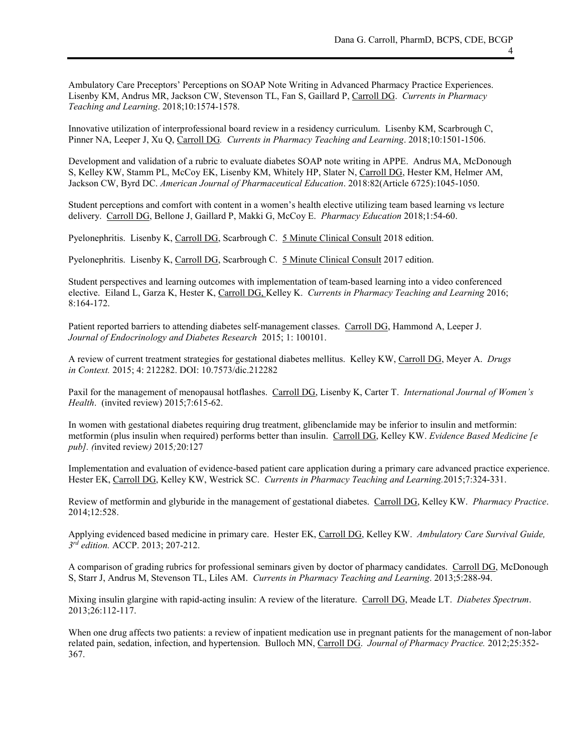Ambulatory Care Preceptors' Perceptions on SOAP Note Writing in Advanced Pharmacy Practice Experiences. Lisenby KM, Andrus MR, Jackson CW, Stevenson TL, Fan S, Gaillard P, Carroll DG. *Currents in Pharmacy Teaching and Learning*. 2018;10:1574-1578.

Innovative utilization of interprofessional board review in a residency curriculum. Lisenby KM, Scarbrough C, Pinner NA, Leeper J, Xu Q, Carroll DG*. Currents in Pharmacy Teaching and Learning*. 2018;10:1501-1506.

Development and validation of a rubric to evaluate diabetes SOAP note writing in APPE. Andrus MA, McDonough S, Kelley KW, Stamm PL, McCoy EK, Lisenby KM, Whitely HP, Slater N, Carroll DG, Hester KM, Helmer AM, Jackson CW, Byrd DC. *American Journal of Pharmaceutical Education*. 2018:82(Article 6725):1045-1050.

Student perceptions and comfort with content in a women's health elective utilizing team based learning vs lecture delivery. Carroll DG, Bellone J, Gaillard P, Makki G, McCoy E. *Pharmacy Education* 2018;1:54-60.

Pyelonephritis. Lisenby K, Carroll DG, Scarbrough C. 5 Minute Clinical Consult 2018 edition.

Pyelonephritis. Lisenby K, Carroll DG, Scarbrough C. 5 Minute Clinical Consult 2017 edition.

Student perspectives and learning outcomes with implementation of team-based learning into a video conferenced elective. Eiland L, Garza K, Hester K, Carroll DG, Kelley K. *Currents in Pharmacy Teaching and Learning* 2016; 8:164-172.

Patient reported barriers to attending diabetes self-management classes. Carroll DG, Hammond A, Leeper J. *Journal of Endocrinology and Diabetes Research* 2015; 1: 100101.

A review of current treatment strategies for gestational diabetes mellitus. Kelley KW, Carroll DG, Meyer A. *Drugs in Context.* 2015; 4: 212282. DOI: 10.7573/dic.212282

Paxil for the management of menopausal hotflashes. Carroll DG, Lisenby K, Carter T. *International Journal of Women's Health*. (invited review) 2015;7:615-62.

In women with gestational diabetes requiring drug treatment, glibenclamide may be inferior to insulin and metformin: metformin (plus insulin when required) performs better than insulin. Carroll DG, Kelley KW. *Evidence Based Medicine [e pub]. (*invited review*)* 2015*;*20:127

Implementation and evaluation of evidence-based patient care application during a primary care advanced practice experience. Hester EK, Carroll DG, Kelley KW, Westrick SC. *Currents in Pharmacy Teaching and Learning.*2015;7:324-331.

Review of metformin and glyburide in the management of gestational diabetes. Carroll DG, Kelley KW. *Pharmacy Practice*. 2014;12:528.

Applying evidenced based medicine in primary care. Hester EK, Carroll DG, Kelley KW. *Ambulatory Care Survival Guide, 3rd edition.* ACCP. 2013; 207-212.

A comparison of grading rubrics for professional seminars given by doctor of pharmacy candidates. Carroll DG, McDonough S, Starr J, Andrus M, Stevenson TL, Liles AM. *Currents in Pharmacy Teaching and Learning*. 2013;5:288-94.

Mixing insulin glargine with rapid-acting insulin: A review of the literature. Carroll DG, Meade LT. *Diabetes Spectrum*. 2013;26:112-117.

When one drug affects two patients: a review of inpatient medication use in pregnant patients for the management of non-labor related pain, sedation, infection, and hypertension. Bulloch MN, Carroll DG. *Journal of Pharmacy Practice.* 2012;25:352- 367.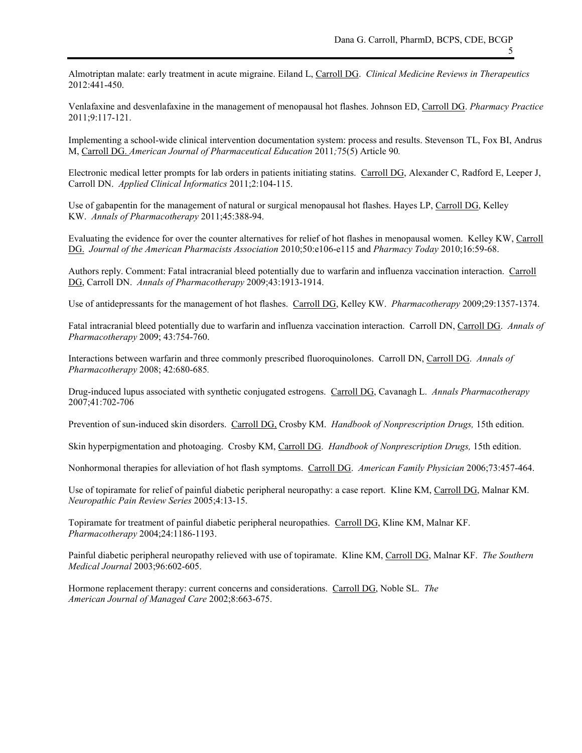Almotriptan malate: early treatment in acute migraine. Eiland L, Carroll DG. *Clinical Medicine Reviews in Therapeutics* 2012:441-450.

Venlafaxine and desvenlafaxine in the management of menopausal hot flashes. Johnson ED, Carroll DG. *Pharmacy Practice*  2011;9:117-121.

Implementing a school-wide clinical intervention documentation system: process and results. Stevenson TL, Fox BI, Andrus M, Carroll DG. *American Journal of Pharmaceutical Education* 2011*;*75(5) Article 90*.*

Electronic medical letter prompts for lab orders in patients initiating statins. Carroll DG, Alexander C, Radford E, Leeper J, Carroll DN. *Applied Clinical Informatics* 2011;2:104-115.

Use of gabapentin for the management of natural or surgical menopausal hot flashes. Hayes LP, Carroll DG, Kelley KW. *Annals of Pharmacotherapy* 2011;45:388-94.

Evaluating the evidence for over the counter alternatives for relief of hot flashes in menopausal women. Kelley KW, Carroll DG. *Journal of the American Pharmacists Association* 2010;50:e106-e115 and *Pharmacy Today* 2010;16:59-68.

Authors reply. Comment: Fatal intracranial bleed potentially due to warfarin and influenza vaccination interaction. Carroll DG, Carroll DN. *Annals of Pharmacotherapy* 2009;43:1913-1914.

Use of antidepressants for the management of hot flashes. Carroll DG, Kelley KW. *Pharmacotherapy* 2009;29:1357-1374.

Fatal intracranial bleed potentially due to warfarin and influenza vaccination interaction. Carroll DN, Carroll DG. *Annals of Pharmacotherapy* 2009; 43:754-760.

Interactions between warfarin and three commonly prescribed fluoroquinolones. Carroll DN, Carroll DG. *Annals of Pharmacotherapy* 2008; 42:680-685*.*

Drug-induced lupus associated with synthetic conjugated estrogens. Carroll DG, Cavanagh L. *Annals Pharmacotherapy* 2007;41:702-706

Prevention of sun-induced skin disorders. Carroll DG, Crosby KM. *Handbook of Nonprescription Drugs,* 15th edition.

Skin hyperpigmentation and photoaging. Crosby KM, Carroll DG. *Handbook of Nonprescription Drugs,* 15th edition.

Nonhormonal therapies for alleviation of hot flash symptoms. Carroll DG. *American Family Physician* 2006;73:457-464.

Use of topiramate for relief of painful diabetic peripheral neuropathy: a case report. Kline KM, Carroll DG, Malnar KM. *Neuropathic Pain Review Series* 2005;4:13-15.

Topiramate for treatment of painful diabetic peripheral neuropathies. Carroll DG, Kline KM, Malnar KF. *Pharmacotherapy* 2004;24:1186-1193.

Painful diabetic peripheral neuropathy relieved with use of topiramate. Kline KM, Carroll DG, Malnar KF. *The Southern Medical Journal* 2003;96:602-605.

Hormone replacement therapy: current concerns and considerations. Carroll DG, Noble SL. *The American Journal of Managed Care* 2002;8:663-675.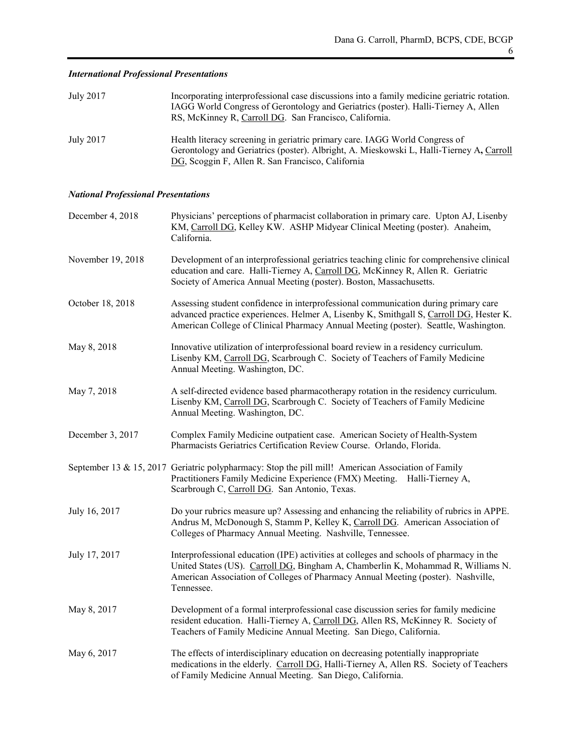## July 2017 Incorporating interprofessional case discussions into a family medicine geriatric rotation. IAGG World Congress of Gerontology and Geriatrics (poster). Halli-Tierney A, Allen RS, McKinney R, Carroll DG. San Francisco, California. July 2017 Health literacy screening in geriatric primary care. IAGG World Congress of Gerontology and Geriatrics (poster). Albright, A. Mieskowski L, Halli-Tierney A**,** Carroll DG, Scoggin F, Allen R. San Francisco, California

## *International Professional Presentations*

## *National Professional Presentations*

| December 4, 2018  | Physicians' perceptions of pharmacist collaboration in primary care. Upton AJ, Lisenby<br>KM, Carroll DG, Kelley KW. ASHP Midyear Clinical Meeting (poster). Anaheim,<br>California.                                                                                          |
|-------------------|-------------------------------------------------------------------------------------------------------------------------------------------------------------------------------------------------------------------------------------------------------------------------------|
| November 19, 2018 | Development of an interprofessional geriatrics teaching clinic for comprehensive clinical<br>education and care. Halli-Tierney A, Carroll DG, McKinney R, Allen R. Geriatric<br>Society of America Annual Meeting (poster). Boston, Massachusetts.                            |
| October 18, 2018  | Assessing student confidence in interprofessional communication during primary care<br>advanced practice experiences. Helmer A, Lisenby K, Smithgall S, Carroll DG, Hester K.<br>American College of Clinical Pharmacy Annual Meeting (poster). Seattle, Washington.          |
| May 8, 2018       | Innovative utilization of interprofessional board review in a residency curriculum.<br>Lisenby KM, Carroll DG, Scarbrough C. Society of Teachers of Family Medicine<br>Annual Meeting. Washington, DC.                                                                        |
| May 7, 2018       | A self-directed evidence based pharmacotherapy rotation in the residency curriculum.<br>Lisenby KM, Carroll DG, Scarbrough C. Society of Teachers of Family Medicine<br>Annual Meeting. Washington, DC.                                                                       |
| December 3, 2017  | Complex Family Medicine outpatient case. American Society of Health-System<br>Pharmacists Geriatrics Certification Review Course. Orlando, Florida.                                                                                                                           |
|                   | September 13 & 15, 2017 Geriatric polypharmacy: Stop the pill mill! American Association of Family<br>Practitioners Family Medicine Experience (FMX) Meeting. Halli-Tierney A,<br>Scarbrough C, Carroll DG. San Antonio, Texas.                                               |
| July 16, 2017     | Do your rubrics measure up? Assessing and enhancing the reliability of rubrics in APPE.<br>Andrus M, McDonough S, Stamm P, Kelley K, Carroll DG. American Association of<br>Colleges of Pharmacy Annual Meeting. Nashville, Tennessee.                                        |
| July 17, 2017     | Interprofessional education (IPE) activities at colleges and schools of pharmacy in the<br>United States (US). Carroll DG, Bingham A, Chamberlin K, Mohammad R, Williams N.<br>American Association of Colleges of Pharmacy Annual Meeting (poster). Nashville,<br>Tennessee. |
| May 8, 2017       | Development of a formal interprofessional case discussion series for family medicine<br>resident education. Halli-Tierney A, Carroll DG, Allen RS, McKinney R. Society of<br>Teachers of Family Medicine Annual Meeting. San Diego, California.                               |
| May 6, 2017       | The effects of interdisciplinary education on decreasing potentially inappropriate<br>medications in the elderly. Carroll DG, Halli-Tierney A, Allen RS. Society of Teachers<br>of Family Medicine Annual Meeting. San Diego, California.                                     |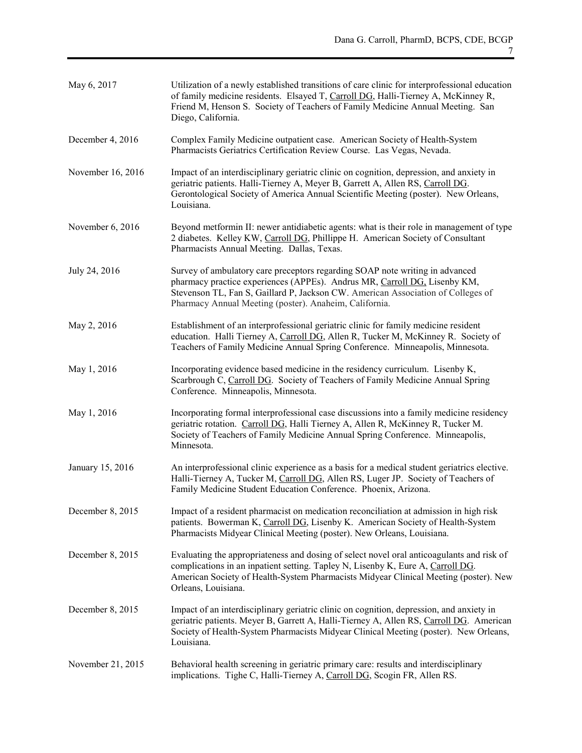| May 6, 2017       | Utilization of a newly established transitions of care clinic for interprofessional education<br>of family medicine residents. Elsayed T, Carroll DG, Halli-Tierney A, McKinney R,<br>Friend M, Henson S. Society of Teachers of Family Medicine Annual Meeting. San<br>Diego, California.              |
|-------------------|---------------------------------------------------------------------------------------------------------------------------------------------------------------------------------------------------------------------------------------------------------------------------------------------------------|
| December 4, 2016  | Complex Family Medicine outpatient case. American Society of Health-System<br>Pharmacists Geriatrics Certification Review Course. Las Vegas, Nevada.                                                                                                                                                    |
| November 16, 2016 | Impact of an interdisciplinary geriatric clinic on cognition, depression, and anxiety in<br>geriatric patients. Halli-Tierney A, Meyer B, Garrett A, Allen RS, Carroll DG.<br>Gerontological Society of America Annual Scientific Meeting (poster). New Orleans,<br>Louisiana.                          |
| November 6, 2016  | Beyond metformin II: newer antidiabetic agents: what is their role in management of type<br>2 diabetes. Kelley KW, Carroll DG, Phillippe H. American Society of Consultant<br>Pharmacists Annual Meeting. Dallas, Texas.                                                                                |
| July 24, 2016     | Survey of ambulatory care preceptors regarding SOAP note writing in advanced<br>pharmacy practice experiences (APPEs). Andrus MR, Carroll DG, Lisenby KM,<br>Stevenson TL, Fan S, Gaillard P, Jackson CW. American Association of Colleges of<br>Pharmacy Annual Meeting (poster). Anaheim, California. |
| May 2, 2016       | Establishment of an interprofessional geriatric clinic for family medicine resident<br>education. Halli Tierney A, Carroll DG, Allen R, Tucker M, McKinney R. Society of<br>Teachers of Family Medicine Annual Spring Conference. Minneapolis, Minnesota.                                               |
| May 1, 2016       | Incorporating evidence based medicine in the residency curriculum. Lisenby K,<br>Scarbrough C, Carroll DG. Society of Teachers of Family Medicine Annual Spring<br>Conference. Minneapolis, Minnesota.                                                                                                  |
| May 1, 2016       | Incorporating formal interprofessional case discussions into a family medicine residency<br>geriatric rotation. Carroll DG, Halli Tierney A, Allen R, McKinney R, Tucker M.<br>Society of Teachers of Family Medicine Annual Spring Conference. Minneapolis,<br>Minnesota.                              |
| January 15, 2016  | An interprofessional clinic experience as a basis for a medical student geriatrics elective.<br>Halli-Tierney A, Tucker M, Carroll DG, Allen RS, Luger JP. Society of Teachers of<br>Family Medicine Student Education Conference. Phoenix, Arizona.                                                    |
| December 8, 2015  | Impact of a resident pharmacist on medication reconciliation at admission in high risk<br>patients. Bowerman K, Carroll DG, Lisenby K. American Society of Health-System<br>Pharmacists Midyear Clinical Meeting (poster). New Orleans, Louisiana.                                                      |
| December 8, 2015  | Evaluating the appropriateness and dosing of select novel oral anticoagulants and risk of<br>complications in an inpatient setting. Tapley N, Lisenby K, Eure A, Carroll DG.<br>American Society of Health-System Pharmacists Midyear Clinical Meeting (poster). New<br>Orleans, Louisiana.             |
| December 8, 2015  | Impact of an interdisciplinary geriatric clinic on cognition, depression, and anxiety in<br>geriatric patients. Meyer B, Garrett A, Halli-Tierney A, Allen RS, Carroll DG. American<br>Society of Health-System Pharmacists Midyear Clinical Meeting (poster). New Orleans,<br>Louisiana.               |
| November 21, 2015 | Behavioral health screening in geriatric primary care: results and interdisciplinary<br>implications. Tighe C, Halli-Tierney A, Carroll DG, Scogin FR, Allen RS.                                                                                                                                        |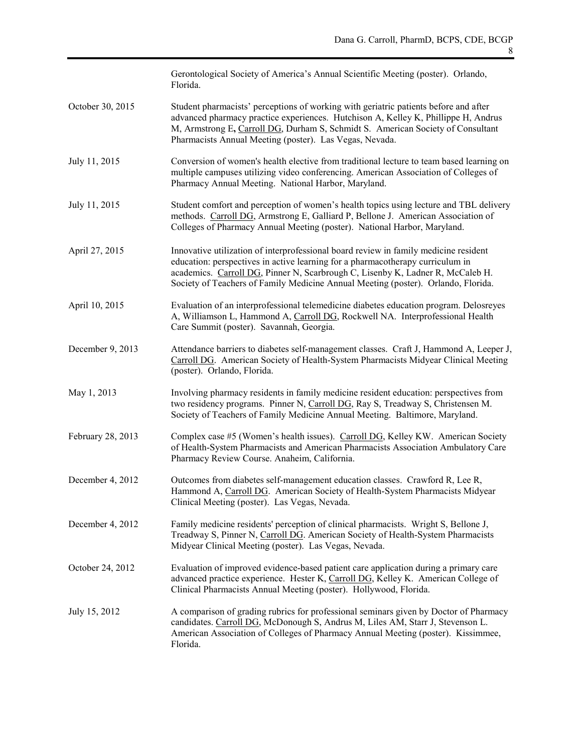|                   | Gerontological Society of America's Annual Scientific Meeting (poster). Orlando,<br>Florida.                                                                                                                                                                                                                                                  |
|-------------------|-----------------------------------------------------------------------------------------------------------------------------------------------------------------------------------------------------------------------------------------------------------------------------------------------------------------------------------------------|
| October 30, 2015  | Student pharmacists' perceptions of working with geriatric patients before and after<br>advanced pharmacy practice experiences. Hutchison A, Kelley K, Phillippe H, Andrus<br>M, Armstrong E, Carroll DG, Durham S, Schmidt S. American Society of Consultant<br>Pharmacists Annual Meeting (poster). Las Vegas, Nevada.                      |
| July 11, 2015     | Conversion of women's health elective from traditional lecture to team based learning on<br>multiple campuses utilizing video conferencing. American Association of Colleges of<br>Pharmacy Annual Meeting. National Harbor, Maryland.                                                                                                        |
| July 11, 2015     | Student comfort and perception of women's health topics using lecture and TBL delivery<br>methods. Carroll DG, Armstrong E, Galliard P, Bellone J. American Association of<br>Colleges of Pharmacy Annual Meeting (poster). National Harbor, Maryland.                                                                                        |
| April 27, 2015    | Innovative utilization of interprofessional board review in family medicine resident<br>education: perspectives in active learning for a pharmacotherapy curriculum in<br>academics. Carroll DG, Pinner N, Scarbrough C, Lisenby K, Ladner R, McCaleb H.<br>Society of Teachers of Family Medicine Annual Meeting (poster). Orlando, Florida. |
| April 10, 2015    | Evaluation of an interprofessional telemedicine diabetes education program. Delosreyes<br>A, Williamson L, Hammond A, Carroll DG, Rockwell NA. Interprofessional Health<br>Care Summit (poster). Savannah, Georgia.                                                                                                                           |
| December 9, 2013  | Attendance barriers to diabetes self-management classes. Craft J, Hammond A, Leeper J,<br>Carroll DG. American Society of Health-System Pharmacists Midyear Clinical Meeting<br>(poster). Orlando, Florida.                                                                                                                                   |
| May 1, 2013       | Involving pharmacy residents in family medicine resident education: perspectives from<br>two residency programs. Pinner N, Carroll DG, Ray S, Treadway S, Christensen M.<br>Society of Teachers of Family Medicine Annual Meeting. Baltimore, Maryland.                                                                                       |
| February 28, 2013 | Complex case #5 (Women's health issues). Carroll DG, Kelley KW. American Society<br>of Health-System Pharmacists and American Pharmacists Association Ambulatory Care<br>Pharmacy Review Course. Anaheim, California.                                                                                                                         |
| December 4, 2012  | Outcomes from diabetes self-management education classes. Crawford R, Lee R,<br>Hammond A, Carroll DG. American Society of Health-System Pharmacists Midyear<br>Clinical Meeting (poster). Las Vegas, Nevada.                                                                                                                                 |
| December 4, 2012  | Family medicine residents' perception of clinical pharmacists. Wright S, Bellone J,<br>Treadway S, Pinner N, Carroll DG. American Society of Health-System Pharmacists<br>Midyear Clinical Meeting (poster). Las Vegas, Nevada.                                                                                                               |
| October 24, 2012  | Evaluation of improved evidence-based patient care application during a primary care<br>advanced practice experience. Hester K, Carroll DG, Kelley K. American College of<br>Clinical Pharmacists Annual Meeting (poster). Hollywood, Florida.                                                                                                |
| July 15, 2012     | A comparison of grading rubrics for professional seminars given by Doctor of Pharmacy<br>candidates. Carroll DG, McDonough S, Andrus M, Liles AM, Starr J, Stevenson L.<br>American Association of Colleges of Pharmacy Annual Meeting (poster). Kissimmee,<br>Florida.                                                                       |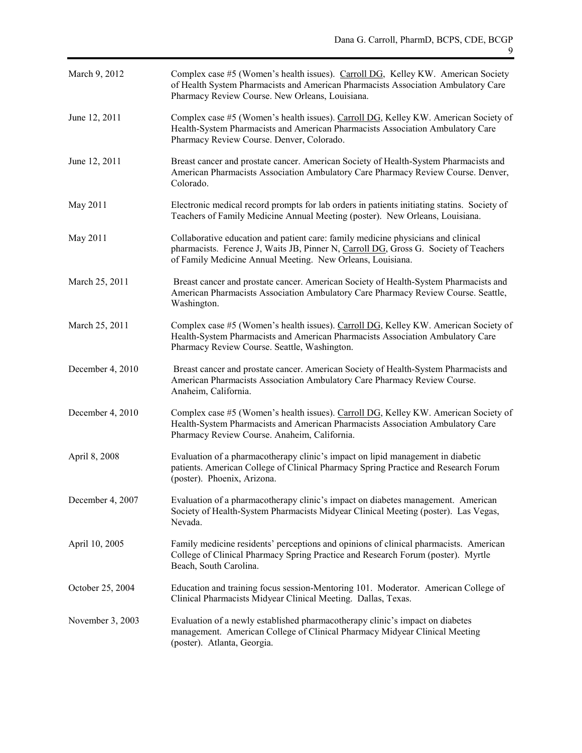| March 9, 2012    | Complex case #5 (Women's health issues). Carroll DG, Kelley KW. American Society<br>of Health System Pharmacists and American Pharmacists Association Ambulatory Care<br>Pharmacy Review Course. New Orleans, Louisiana.                |
|------------------|-----------------------------------------------------------------------------------------------------------------------------------------------------------------------------------------------------------------------------------------|
| June 12, 2011    | Complex case #5 (Women's health issues). Carroll DG, Kelley KW. American Society of<br>Health-System Pharmacists and American Pharmacists Association Ambulatory Care<br>Pharmacy Review Course. Denver, Colorado.                      |
| June 12, 2011    | Breast cancer and prostate cancer. American Society of Health-System Pharmacists and<br>American Pharmacists Association Ambulatory Care Pharmacy Review Course. Denver,<br>Colorado.                                                   |
| May 2011         | Electronic medical record prompts for lab orders in patients initiating statins. Society of<br>Teachers of Family Medicine Annual Meeting (poster). New Orleans, Louisiana.                                                             |
| May 2011         | Collaborative education and patient care: family medicine physicians and clinical<br>pharmacists. Ference J, Waits JB, Pinner N, Carroll DG, Gross G. Society of Teachers<br>of Family Medicine Annual Meeting. New Orleans, Louisiana. |
| March 25, 2011   | Breast cancer and prostate cancer. American Society of Health-System Pharmacists and<br>American Pharmacists Association Ambulatory Care Pharmacy Review Course. Seattle,<br>Washington.                                                |
| March 25, 2011   | Complex case #5 (Women's health issues). Carroll DG, Kelley KW. American Society of<br>Health-System Pharmacists and American Pharmacists Association Ambulatory Care<br>Pharmacy Review Course. Seattle, Washington.                   |
| December 4, 2010 | Breast cancer and prostate cancer. American Society of Health-System Pharmacists and<br>American Pharmacists Association Ambulatory Care Pharmacy Review Course.<br>Anaheim, California.                                                |
| December 4, 2010 | Complex case #5 (Women's health issues). Carroll DG, Kelley KW. American Society of<br>Health-System Pharmacists and American Pharmacists Association Ambulatory Care<br>Pharmacy Review Course. Anaheim, California.                   |
| April 8, 2008    | Evaluation of a pharmacotherapy clinic's impact on lipid management in diabetic<br>patients. American College of Clinical Pharmacy Spring Practice and Research Forum<br>(poster). Phoenix, Arizona.                                    |
| December 4, 2007 | Evaluation of a pharmacotherapy clinic's impact on diabetes management. American<br>Society of Health-System Pharmacists Midyear Clinical Meeting (poster). Las Vegas,<br>Nevada.                                                       |
| April 10, 2005   | Family medicine residents' perceptions and opinions of clinical pharmacists. American<br>College of Clinical Pharmacy Spring Practice and Research Forum (poster). Myrtle<br>Beach, South Carolina.                                     |
| October 25, 2004 | Education and training focus session-Mentoring 101. Moderator. American College of<br>Clinical Pharmacists Midyear Clinical Meeting. Dallas, Texas.                                                                                     |
| November 3, 2003 | Evaluation of a newly established pharmacotherapy clinic's impact on diabetes<br>management. American College of Clinical Pharmacy Midyear Clinical Meeting<br>(poster). Atlanta, Georgia.                                              |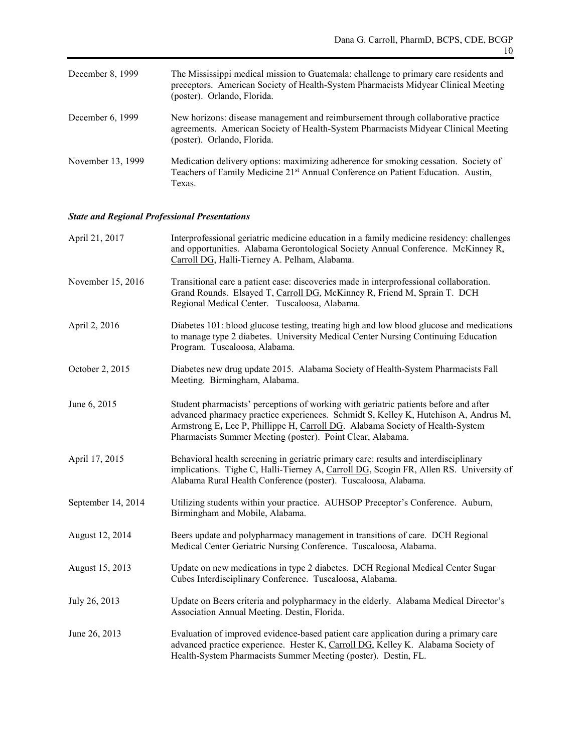| December 8, 1999   | The Mississippi medical mission to Guatemala: challenge to primary care residents and<br>preceptors. American Society of Health-System Pharmacists Midyear Clinical Meeting<br>(poster). Orlando, Florida. |
|--------------------|------------------------------------------------------------------------------------------------------------------------------------------------------------------------------------------------------------|
| December $6, 1999$ | New horizons: disease management and reimbursement through collaborative practice<br>agreements. American Society of Health-System Pharmacists Midyear Clinical Meeting<br>(poster). Orlando, Florida.     |
| November 13, 1999  | Medication delivery options: maximizing adherence for smoking cessation. Society of<br>Teachers of Family Medicine 21 <sup>st</sup> Annual Conference on Patient Education. Austin,<br>Texas.              |

## *State and Regional Professional Presentations*

| April 21, 2017     | Interprofessional geriatric medicine education in a family medicine residency: challenges<br>and opportunities. Alabama Gerontological Society Annual Conference. McKinney R,<br>Carroll DG, Halli-Tierney A. Pelham, Alabama.                                                                                             |
|--------------------|----------------------------------------------------------------------------------------------------------------------------------------------------------------------------------------------------------------------------------------------------------------------------------------------------------------------------|
| November 15, 2016  | Transitional care a patient case: discoveries made in interprofessional collaboration.<br>Grand Rounds. Elsayed T, Carroll DG, McKinney R, Friend M, Sprain T. DCH<br>Regional Medical Center. Tuscaloosa, Alabama.                                                                                                        |
| April 2, 2016      | Diabetes 101: blood glucose testing, treating high and low blood glucose and medications<br>to manage type 2 diabetes. University Medical Center Nursing Continuing Education<br>Program. Tuscaloosa, Alabama.                                                                                                             |
| October 2, 2015    | Diabetes new drug update 2015. Alabama Society of Health-System Pharmacists Fall<br>Meeting. Birmingham, Alabama.                                                                                                                                                                                                          |
| June 6, 2015       | Student pharmacists' perceptions of working with geriatric patients before and after<br>advanced pharmacy practice experiences. Schmidt S, Kelley K, Hutchison A, Andrus M,<br>Armstrong E, Lee P, Phillippe H, Carroll DG. Alabama Society of Health-System<br>Pharmacists Summer Meeting (poster). Point Clear, Alabama. |
| April 17, 2015     | Behavioral health screening in geriatric primary care: results and interdisciplinary<br>implications. Tighe C, Halli-Tierney A, Carroll DG, Scogin FR, Allen RS. University of<br>Alabama Rural Health Conference (poster). Tuscaloosa, Alabama.                                                                           |
| September 14, 2014 | Utilizing students within your practice. AUHSOP Preceptor's Conference. Auburn,<br>Birmingham and Mobile, Alabama.                                                                                                                                                                                                         |
| August 12, 2014    | Beers update and polypharmacy management in transitions of care. DCH Regional<br>Medical Center Geriatric Nursing Conference. Tuscaloosa, Alabama.                                                                                                                                                                         |
| August 15, 2013    | Update on new medications in type 2 diabetes. DCH Regional Medical Center Sugar<br>Cubes Interdisciplinary Conference. Tuscaloosa, Alabama.                                                                                                                                                                                |
| July 26, 2013      | Update on Beers criteria and polypharmacy in the elderly. Alabama Medical Director's<br>Association Annual Meeting. Destin, Florida.                                                                                                                                                                                       |
| June 26, 2013      | Evaluation of improved evidence-based patient care application during a primary care<br>advanced practice experience. Hester K, Carroll DG, Kelley K. Alabama Society of<br>Health-System Pharmacists Summer Meeting (poster). Destin, FL.                                                                                 |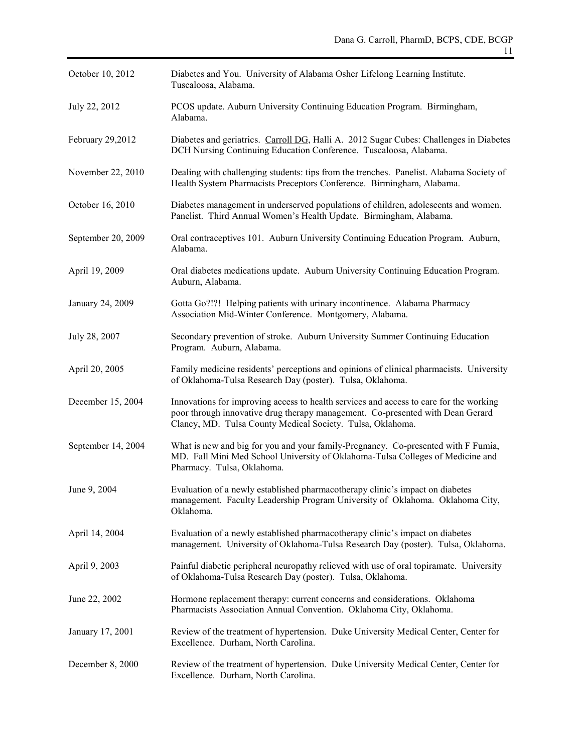| October 10, 2012   | Diabetes and You. University of Alabama Osher Lifelong Learning Institute.<br>Tuscaloosa, Alabama.                                                                                                                                     |
|--------------------|----------------------------------------------------------------------------------------------------------------------------------------------------------------------------------------------------------------------------------------|
| July 22, 2012      | PCOS update. Auburn University Continuing Education Program. Birmingham,<br>Alabama.                                                                                                                                                   |
| February 29,2012   | Diabetes and geriatrics. Carroll DG, Halli A. 2012 Sugar Cubes: Challenges in Diabetes<br>DCH Nursing Continuing Education Conference. Tuscaloosa, Alabama.                                                                            |
| November 22, 2010  | Dealing with challenging students: tips from the trenches. Panelist. Alabama Society of<br>Health System Pharmacists Preceptors Conference. Birmingham, Alabama.                                                                       |
| October 16, 2010   | Diabetes management in underserved populations of children, adolescents and women.<br>Panelist. Third Annual Women's Health Update. Birmingham, Alabama.                                                                               |
| September 20, 2009 | Oral contraceptives 101. Auburn University Continuing Education Program. Auburn,<br>Alabama.                                                                                                                                           |
| April 19, 2009     | Oral diabetes medications update. Auburn University Continuing Education Program.<br>Auburn, Alabama.                                                                                                                                  |
| January 24, 2009   | Gotta Go?!?! Helping patients with urinary incontinence. Alabama Pharmacy<br>Association Mid-Winter Conference. Montgomery, Alabama.                                                                                                   |
| July 28, 2007      | Secondary prevention of stroke. Auburn University Summer Continuing Education<br>Program. Auburn, Alabama.                                                                                                                             |
| April 20, 2005     | Family medicine residents' perceptions and opinions of clinical pharmacists. University<br>of Oklahoma-Tulsa Research Day (poster). Tulsa, Oklahoma.                                                                                   |
| December 15, 2004  | Innovations for improving access to health services and access to care for the working<br>poor through innovative drug therapy management. Co-presented with Dean Gerard<br>Clancy, MD. Tulsa County Medical Society. Tulsa, Oklahoma. |
| September 14, 2004 | What is new and big for you and your family-Pregnancy. Co-presented with F Fumia,<br>MD. Fall Mini Med School University of Oklahoma-Tulsa Colleges of Medicine and<br>Pharmacy. Tulsa, Oklahoma.                                      |
| June 9, 2004       | Evaluation of a newly established pharmacotherapy clinic's impact on diabetes<br>management. Faculty Leadership Program University of Oklahoma. Oklahoma City,<br>Oklahoma.                                                            |
| April 14, 2004     | Evaluation of a newly established pharmacotherapy clinic's impact on diabetes<br>management. University of Oklahoma-Tulsa Research Day (poster). Tulsa, Oklahoma.                                                                      |
| April 9, 2003      | Painful diabetic peripheral neuropathy relieved with use of oral topiramate. University<br>of Oklahoma-Tulsa Research Day (poster). Tulsa, Oklahoma.                                                                                   |
| June 22, 2002      | Hormone replacement therapy: current concerns and considerations. Oklahoma<br>Pharmacists Association Annual Convention. Oklahoma City, Oklahoma.                                                                                      |
| January 17, 2001   | Review of the treatment of hypertension. Duke University Medical Center, Center for<br>Excellence. Durham, North Carolina.                                                                                                             |
| December 8, 2000   | Review of the treatment of hypertension. Duke University Medical Center, Center for<br>Excellence. Durham, North Carolina.                                                                                                             |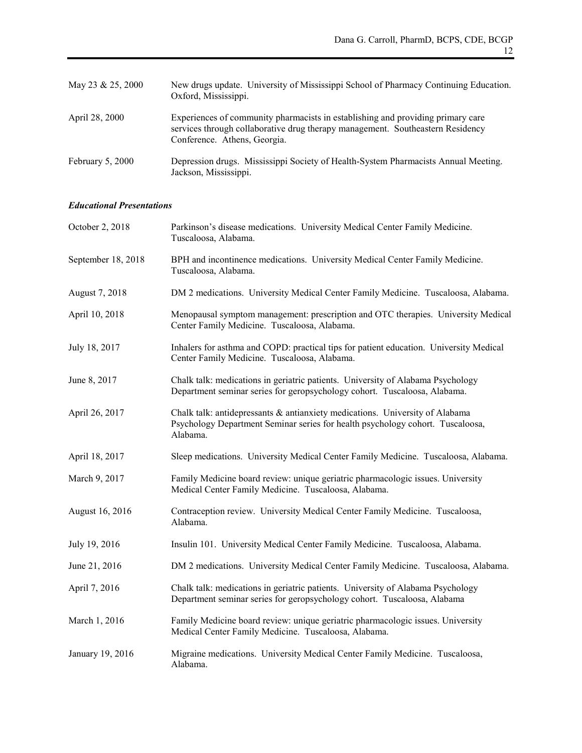| May 23 & 25, 2000 | New drugs update. University of Mississippi School of Pharmacy Continuing Education.<br>Oxford, Mississippi.                                                                                      |
|-------------------|---------------------------------------------------------------------------------------------------------------------------------------------------------------------------------------------------|
| April 28, 2000    | Experiences of community pharmacists in establishing and providing primary care<br>services through collaborative drug therapy management. Southeastern Residency<br>Conference. Athens, Georgia. |
| February 5, 2000  | Depression drugs. Mississippi Society of Health-System Pharmacists Annual Meeting.<br>Jackson, Mississippi.                                                                                       |

## *Educational Presentations*

| October 2, 2018    | Parkinson's disease medications. University Medical Center Family Medicine.<br>Tuscaloosa, Alabama.                                                                        |
|--------------------|----------------------------------------------------------------------------------------------------------------------------------------------------------------------------|
| September 18, 2018 | BPH and incontinence medications. University Medical Center Family Medicine.<br>Tuscaloosa, Alabama.                                                                       |
| August 7, 2018     | DM 2 medications. University Medical Center Family Medicine. Tuscaloosa, Alabama.                                                                                          |
| April 10, 2018     | Menopausal symptom management: prescription and OTC therapies. University Medical<br>Center Family Medicine. Tuscaloosa, Alabama.                                          |
| July 18, 2017      | Inhalers for asthma and COPD: practical tips for patient education. University Medical<br>Center Family Medicine. Tuscaloosa, Alabama.                                     |
| June 8, 2017       | Chalk talk: medications in geriatric patients. University of Alabama Psychology<br>Department seminar series for geropsychology cohort. Tuscaloosa, Alabama.               |
| April 26, 2017     | Chalk talk: antidepressants & antianxiety medications. University of Alabama<br>Psychology Department Seminar series for health psychology cohort. Tuscaloosa,<br>Alabama. |
| April 18, 2017     | Sleep medications. University Medical Center Family Medicine. Tuscaloosa, Alabama.                                                                                         |
| March 9, 2017      | Family Medicine board review: unique geriatric pharmacologic issues. University<br>Medical Center Family Medicine. Tuscaloosa, Alabama.                                    |
| August 16, 2016    | Contraception review. University Medical Center Family Medicine. Tuscaloosa,<br>Alabama.                                                                                   |
| July 19, 2016      | Insulin 101. University Medical Center Family Medicine. Tuscaloosa, Alabama.                                                                                               |
| June 21, 2016      | DM 2 medications. University Medical Center Family Medicine. Tuscaloosa, Alabama.                                                                                          |
| April 7, 2016      | Chalk talk: medications in geriatric patients. University of Alabama Psychology<br>Department seminar series for geropsychology cohort. Tuscaloosa, Alabama                |
| March 1, 2016      | Family Medicine board review: unique geriatric pharmacologic issues. University<br>Medical Center Family Medicine. Tuscaloosa, Alabama.                                    |
| January 19, 2016   | Migraine medications. University Medical Center Family Medicine. Tuscaloosa,<br>Alabama.                                                                                   |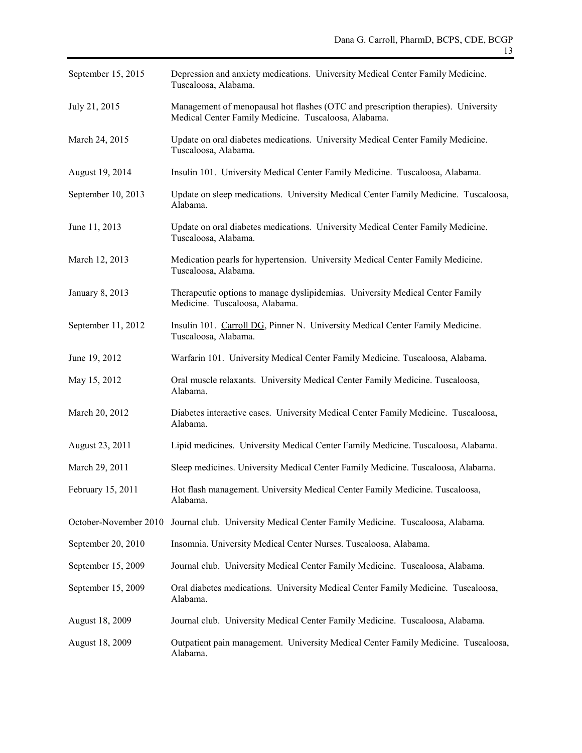| September 15, 2015    | Depression and anxiety medications. University Medical Center Family Medicine.<br>Tuscaloosa, Alabama.                                    |
|-----------------------|-------------------------------------------------------------------------------------------------------------------------------------------|
| July 21, 2015         | Management of menopausal hot flashes (OTC and prescription therapies). University<br>Medical Center Family Medicine. Tuscaloosa, Alabama. |
| March 24, 2015        | Update on oral diabetes medications. University Medical Center Family Medicine.<br>Tuscaloosa, Alabama.                                   |
| August 19, 2014       | Insulin 101. University Medical Center Family Medicine. Tuscaloosa, Alabama.                                                              |
| September 10, 2013    | Update on sleep medications. University Medical Center Family Medicine. Tuscaloosa,<br>Alabama.                                           |
| June 11, 2013         | Update on oral diabetes medications. University Medical Center Family Medicine.<br>Tuscaloosa, Alabama.                                   |
| March 12, 2013        | Medication pearls for hypertension. University Medical Center Family Medicine.<br>Tuscaloosa, Alabama.                                    |
| January 8, 2013       | Therapeutic options to manage dyslipidemias. University Medical Center Family<br>Medicine. Tuscaloosa, Alabama.                           |
| September 11, 2012    | Insulin 101. Carroll DG, Pinner N. University Medical Center Family Medicine.<br>Tuscaloosa, Alabama.                                     |
| June 19, 2012         | Warfarin 101. University Medical Center Family Medicine. Tuscaloosa, Alabama.                                                             |
| May 15, 2012          | Oral muscle relaxants. University Medical Center Family Medicine. Tuscaloosa,<br>Alabama.                                                 |
| March 20, 2012        | Diabetes interactive cases. University Medical Center Family Medicine. Tuscaloosa,<br>Alabama.                                            |
| August 23, 2011       | Lipid medicines. University Medical Center Family Medicine. Tuscaloosa, Alabama.                                                          |
| March 29, 2011        | Sleep medicines. University Medical Center Family Medicine. Tuscaloosa, Alabama.                                                          |
| February 15, 2011     | Hot flash management. University Medical Center Family Medicine. Tuscaloosa,<br>Alabama.                                                  |
| October-November 2010 | Journal club. University Medical Center Family Medicine. Tuscaloosa, Alabama.                                                             |
| September 20, 2010    | Insomnia. University Medical Center Nurses. Tuscaloosa, Alabama.                                                                          |
| September 15, 2009    | Journal club. University Medical Center Family Medicine. Tuscaloosa, Alabama.                                                             |
| September 15, 2009    | Oral diabetes medications. University Medical Center Family Medicine. Tuscaloosa,<br>Alabama.                                             |
| August 18, 2009       | Journal club. University Medical Center Family Medicine. Tuscaloosa, Alabama.                                                             |
| August 18, 2009       | Outpatient pain management. University Medical Center Family Medicine. Tuscaloosa,<br>Alabama.                                            |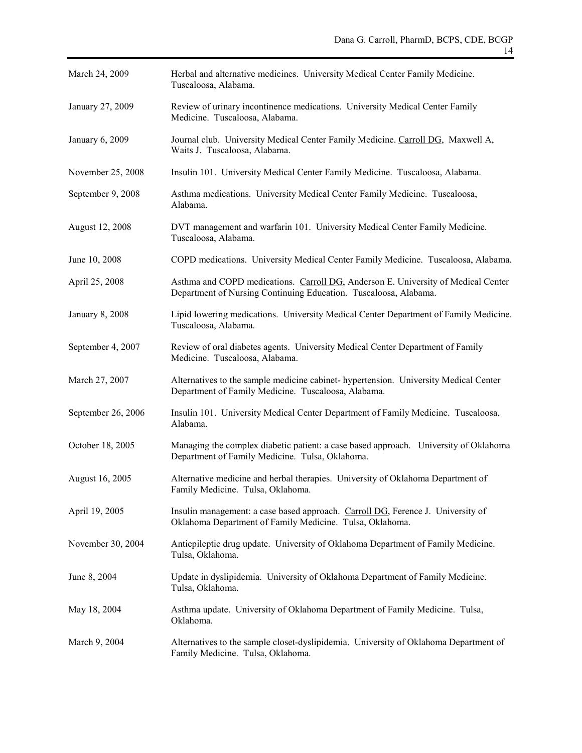| March 24, 2009     | Herbal and alternative medicines. University Medical Center Family Medicine.<br>Tuscaloosa, Alabama.                                                  |
|--------------------|-------------------------------------------------------------------------------------------------------------------------------------------------------|
| January 27, 2009   | Review of urinary incontinence medications. University Medical Center Family<br>Medicine. Tuscaloosa, Alabama.                                        |
| January 6, 2009    | Journal club. University Medical Center Family Medicine. Carroll DG, Maxwell A,<br>Waits J. Tuscaloosa, Alabama.                                      |
| November 25, 2008  | Insulin 101. University Medical Center Family Medicine. Tuscaloosa, Alabama.                                                                          |
| September 9, 2008  | Asthma medications. University Medical Center Family Medicine. Tuscaloosa,<br>Alabama.                                                                |
| August 12, 2008    | DVT management and warfarin 101. University Medical Center Family Medicine.<br>Tuscaloosa, Alabama.                                                   |
| June 10, 2008      | COPD medications. University Medical Center Family Medicine. Tuscaloosa, Alabama.                                                                     |
| April 25, 2008     | Asthma and COPD medications. Carroll DG, Anderson E. University of Medical Center<br>Department of Nursing Continuing Education. Tuscaloosa, Alabama. |
| January 8, 2008    | Lipid lowering medications. University Medical Center Department of Family Medicine.<br>Tuscaloosa, Alabama.                                          |
| September 4, 2007  | Review of oral diabetes agents. University Medical Center Department of Family<br>Medicine. Tuscaloosa, Alabama.                                      |
| March 27, 2007     | Alternatives to the sample medicine cabinet- hypertension. University Medical Center<br>Department of Family Medicine. Tuscaloosa, Alabama.           |
| September 26, 2006 | Insulin 101. University Medical Center Department of Family Medicine. Tuscaloosa,<br>Alabama.                                                         |
| October 18, 2005   | Managing the complex diabetic patient: a case based approach. University of Oklahoma<br>Department of Family Medicine. Tulsa, Oklahoma.               |
| August 16, 2005    | Alternative medicine and herbal therapies. University of Oklahoma Department of<br>Family Medicine. Tulsa, Oklahoma.                                  |
| April 19, 2005     | Insulin management: a case based approach. Carroll DG, Ference J. University of<br>Oklahoma Department of Family Medicine. Tulsa, Oklahoma.           |
| November 30, 2004  | Antiepileptic drug update. University of Oklahoma Department of Family Medicine.<br>Tulsa, Oklahoma.                                                  |
| June 8, 2004       | Update in dyslipidemia. University of Oklahoma Department of Family Medicine.<br>Tulsa, Oklahoma.                                                     |
| May 18, 2004       | Asthma update. University of Oklahoma Department of Family Medicine. Tulsa,<br>Oklahoma.                                                              |
| March 9, 2004      | Alternatives to the sample closet-dyslipidemia. University of Oklahoma Department of<br>Family Medicine. Tulsa, Oklahoma.                             |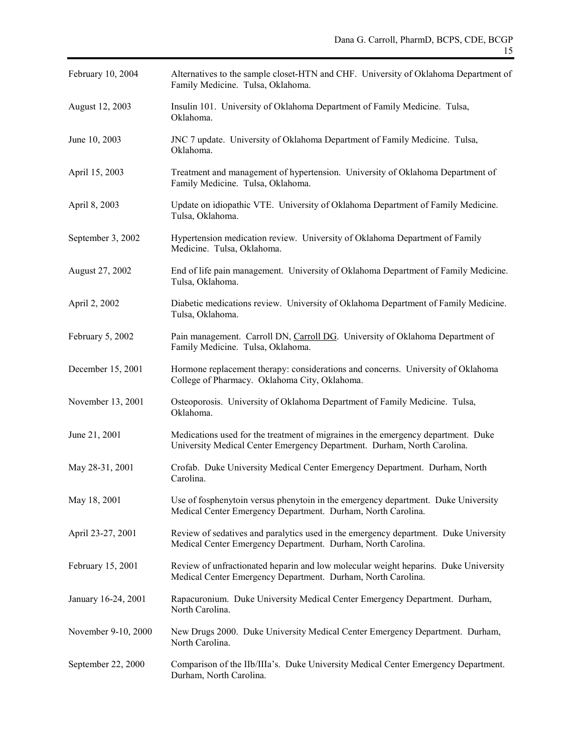| February 10, 2004   | Alternatives to the sample closet-HTN and CHF. University of Oklahoma Department of<br>Family Medicine. Tulsa, Oklahoma.                                     |  |
|---------------------|--------------------------------------------------------------------------------------------------------------------------------------------------------------|--|
| August 12, 2003     | Insulin 101. University of Oklahoma Department of Family Medicine. Tulsa,<br>Oklahoma.                                                                       |  |
| June 10, 2003       | JNC 7 update. University of Oklahoma Department of Family Medicine. Tulsa,<br>Oklahoma.                                                                      |  |
| April 15, 2003      | Treatment and management of hypertension. University of Oklahoma Department of<br>Family Medicine. Tulsa, Oklahoma.                                          |  |
| April 8, 2003       | Update on idiopathic VTE. University of Oklahoma Department of Family Medicine.<br>Tulsa, Oklahoma.                                                          |  |
| September 3, 2002   | Hypertension medication review. University of Oklahoma Department of Family<br>Medicine. Tulsa, Oklahoma.                                                    |  |
| August 27, 2002     | End of life pain management. University of Oklahoma Department of Family Medicine.<br>Tulsa, Oklahoma.                                                       |  |
| April 2, 2002       | Diabetic medications review. University of Oklahoma Department of Family Medicine.<br>Tulsa, Oklahoma.                                                       |  |
| February 5, 2002    | Pain management. Carroll DN, Carroll DG. University of Oklahoma Department of<br>Family Medicine. Tulsa, Oklahoma.                                           |  |
| December 15, 2001   | Hormone replacement therapy: considerations and concerns. University of Oklahoma<br>College of Pharmacy. Oklahoma City, Oklahoma.                            |  |
| November 13, 2001   | Osteoporosis. University of Oklahoma Department of Family Medicine. Tulsa,<br>Oklahoma.                                                                      |  |
| June 21, 2001       | Medications used for the treatment of migraines in the emergency department. Duke<br>University Medical Center Emergency Department. Durham, North Carolina. |  |
| May 28-31, 2001     | Crofab. Duke University Medical Center Emergency Department. Durham, North<br>Carolina.                                                                      |  |
| May 18, 2001        | Use of fosphenytoin versus phenytoin in the emergency department. Duke University<br>Medical Center Emergency Department. Durham, North Carolina.            |  |
| April 23-27, 2001   | Review of sedatives and paralytics used in the emergency department. Duke University<br>Medical Center Emergency Department. Durham, North Carolina.         |  |
| February 15, 2001   | Review of unfractionated heparin and low molecular weight heparins. Duke University<br>Medical Center Emergency Department. Durham, North Carolina.          |  |
| January 16-24, 2001 | Rapacuronium. Duke University Medical Center Emergency Department. Durham,<br>North Carolina.                                                                |  |
| November 9-10, 2000 | New Drugs 2000. Duke University Medical Center Emergency Department. Durham,<br>North Carolina.                                                              |  |
| September 22, 2000  | Comparison of the IIb/IIIa's. Duke University Medical Center Emergency Department.<br>Durham, North Carolina.                                                |  |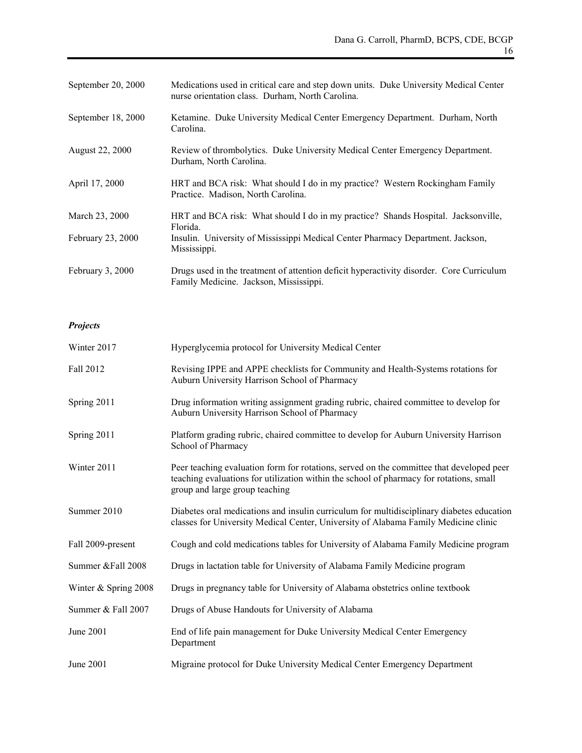| September 20, 2000 | Medications used in critical care and step down units. Duke University Medical Center<br>nurse orientation class. Durham, North Carolina. |
|--------------------|-------------------------------------------------------------------------------------------------------------------------------------------|
| September 18, 2000 | Ketamine. Duke University Medical Center Emergency Department. Durham, North<br>Carolina.                                                 |
| August 22, 2000    | Review of thrombolytics. Duke University Medical Center Emergency Department.<br>Durham, North Carolina.                                  |
| April 17, 2000     | HRT and BCA risk: What should I do in my practice? Western Rockingham Family<br>Practice. Madison, North Carolina.                        |
| March 23, 2000     | HRT and BCA risk: What should I do in my practice? Shands Hospital. Jacksonville,<br>Florida.                                             |
| February 23, 2000  | Insulin. University of Mississippi Medical Center Pharmacy Department. Jackson,<br>Mississippi.                                           |
| February 3, 2000   | Drugs used in the treatment of attention deficit hyperactivity disorder. Core Curriculum<br>Family Medicine. Jackson, Mississippi.        |

## *Projects*

| Winter 2017          | Hyperglycemia protocol for University Medical Center                                                                                                                                                                  |
|----------------------|-----------------------------------------------------------------------------------------------------------------------------------------------------------------------------------------------------------------------|
| Fall 2012            | Revising IPPE and APPE checklists for Community and Health-Systems rotations for<br>Auburn University Harrison School of Pharmacy                                                                                     |
| Spring 2011          | Drug information writing assignment grading rubric, chaired committee to develop for<br>Auburn University Harrison School of Pharmacy                                                                                 |
| Spring 2011          | Platform grading rubric, chaired committee to develop for Auburn University Harrison<br>School of Pharmacy                                                                                                            |
| Winter 2011          | Peer teaching evaluation form for rotations, served on the committee that developed peer<br>teaching evaluations for utilization within the school of pharmacy for rotations, small<br>group and large group teaching |
| Summer 2010          | Diabetes oral medications and insulin curriculum for multidisciplinary diabetes education<br>classes for University Medical Center, University of Alabama Family Medicine clinic                                      |
| Fall 2009-present    | Cough and cold medications tables for University of Alabama Family Medicine program                                                                                                                                   |
| Summer &Fall 2008    | Drugs in lactation table for University of Alabama Family Medicine program                                                                                                                                            |
| Winter & Spring 2008 | Drugs in pregnancy table for University of Alabama obstetrics online textbook                                                                                                                                         |
| Summer & Fall 2007   | Drugs of Abuse Handouts for University of Alabama                                                                                                                                                                     |
| June 2001            | End of life pain management for Duke University Medical Center Emergency<br>Department                                                                                                                                |
| June 2001            | Migraine protocol for Duke University Medical Center Emergency Department                                                                                                                                             |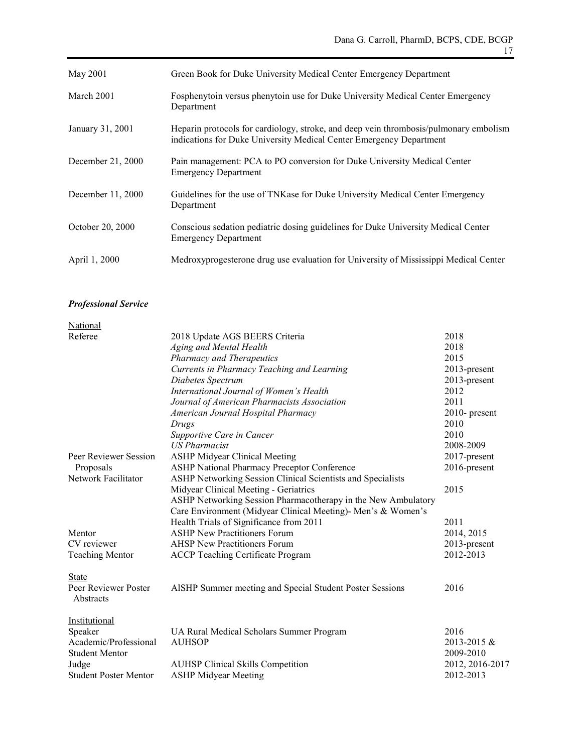| May 2001          | Green Book for Duke University Medical Center Emergency Department                                                                                           |
|-------------------|--------------------------------------------------------------------------------------------------------------------------------------------------------------|
| March 2001        | Fosphenytoin versus phenytoin use for Duke University Medical Center Emergency<br>Department                                                                 |
| January 31, 2001  | Heparin protocols for cardiology, stroke, and deep vein thrombosis/pulmonary embolism<br>indications for Duke University Medical Center Emergency Department |
| December 21, 2000 | Pain management: PCA to PO conversion for Duke University Medical Center<br><b>Emergency Department</b>                                                      |
| December 11, 2000 | Guidelines for the use of TNKase for Duke University Medical Center Emergency<br>Department                                                                  |
| October 20, 2000  | Conscious sedation pediatric dosing guidelines for Duke University Medical Center<br><b>Emergency Department</b>                                             |
| April 1, 2000     | Medroxyprogesterone drug use evaluation for University of Mississippi Medical Center                                                                         |

## *Professional Service*

| National                     |                                                               |                 |
|------------------------------|---------------------------------------------------------------|-----------------|
| Referee                      | 2018 Update AGS BEERS Criteria                                | 2018            |
|                              | Aging and Mental Health                                       | 2018            |
|                              | <b>Pharmacy and Therapeutics</b>                              | 2015            |
|                              | Currents in Pharmacy Teaching and Learning                    | 2013-present    |
|                              | Diabetes Spectrum                                             | 2013-present    |
|                              | International Journal of Women's Health                       | 2012            |
|                              | Journal of American Pharmacists Association                   | 2011            |
|                              | American Journal Hospital Pharmacy                            | 2010- present   |
|                              | Drugs                                                         | 2010            |
|                              | Supportive Care in Cancer                                     | 2010            |
|                              | <b>US Pharmacist</b>                                          | 2008-2009       |
| Peer Reviewer Session        | <b>ASHP Midyear Clinical Meeting</b>                          | 2017-present    |
| Proposals                    | ASHP National Pharmacy Preceptor Conference                   | 2016-present    |
| Network Facilitator          | ASHP Networking Session Clinical Scientists and Specialists   |                 |
|                              | Midyear Clinical Meeting - Geriatrics                         | 2015            |
|                              | ASHP Networking Session Pharmacotherapy in the New Ambulatory |                 |
|                              | Care Environment (Midyear Clinical Meeting)- Men's & Women's  |                 |
|                              | Health Trials of Significance from 2011                       | 2011            |
| Mentor                       | <b>ASHP New Practitioners Forum</b>                           | 2014, 2015      |
| CV reviewer                  | <b>AHSP New Practitioners Forum</b>                           | 2013-present    |
| <b>Teaching Mentor</b>       | ACCP Teaching Certificate Program                             | 2012-2013       |
| <b>State</b>                 |                                                               |                 |
| Peer Reviewer Poster         | AISHP Summer meeting and Special Student Poster Sessions      | 2016            |
| Abstracts                    |                                                               |                 |
| Institutional                |                                                               |                 |
| Speaker                      | UA Rural Medical Scholars Summer Program                      | 2016            |
| Academic/Professional        | <b>AUHSOP</b>                                                 | 2013-2015 &     |
| <b>Student Mentor</b>        |                                                               | 2009-2010       |
| Judge                        | <b>AUHSP</b> Clinical Skills Competition                      | 2012, 2016-2017 |
| <b>Student Poster Mentor</b> | <b>ASHP Midyear Meeting</b>                                   | 2012-2013       |
|                              |                                                               |                 |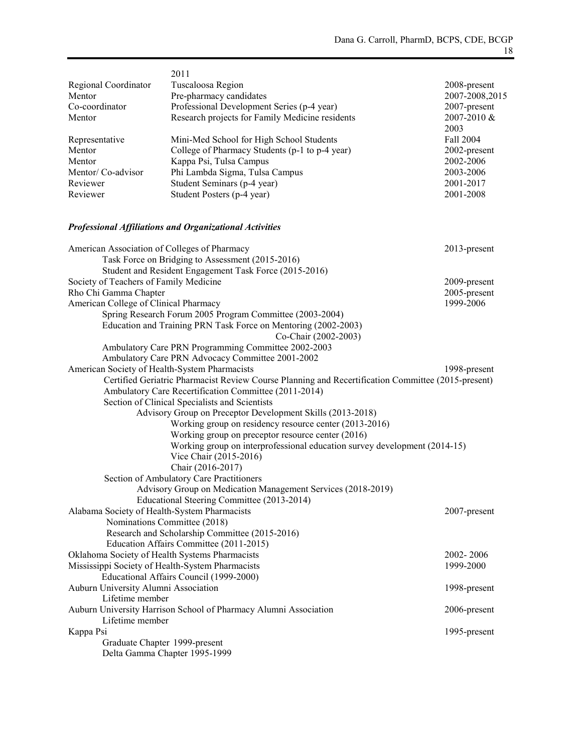| Regional Coordinator<br>Mentor<br>Co-coordinator<br>Mentor | 2011<br>Tuscaloosa Region<br>Pre-pharmacy candidates<br>Professional Development Series (p-4 year)<br>Research projects for Family Medicine residents | 2008-present<br>2007-2008,2015<br>2007-present<br>2007-2010 &<br>2003 |
|------------------------------------------------------------|-------------------------------------------------------------------------------------------------------------------------------------------------------|-----------------------------------------------------------------------|
| Representative                                             | Mini-Med School for High School Students                                                                                                              | Fall 2004                                                             |
| Mentor                                                     | College of Pharmacy Students (p-1 to p-4 year)                                                                                                        | 2002-present                                                          |
| Mentor                                                     | Kappa Psi, Tulsa Campus                                                                                                                               | 2002-2006                                                             |
| Mentor/Co-advisor                                          | Phi Lambda Sigma, Tulsa Campus                                                                                                                        | 2003-2006                                                             |
| Reviewer                                                   | Student Seminars (p-4 year)                                                                                                                           | 2001-2017                                                             |
| Reviewer                                                   | Student Posters (p-4 year)                                                                                                                            | 2001-2008                                                             |
|                                                            | <b>Professional Affiliations and Organizational Activities</b>                                                                                        |                                                                       |
| American Association of Colleges of Pharmacy               |                                                                                                                                                       | 2013-present                                                          |
|                                                            | Task Force on Bridging to Assessment (2015-2016)                                                                                                      |                                                                       |
|                                                            | Student and Resident Engagement Task Force (2015-2016)                                                                                                |                                                                       |
| Society of Teachers of Family Medicine                     |                                                                                                                                                       | 2009-present                                                          |
| Rho Chi Gamma Chapter                                      |                                                                                                                                                       | 2005-present                                                          |
| American College of Clinical Pharmacy                      |                                                                                                                                                       | 1999-2006                                                             |
|                                                            | Spring Research Forum 2005 Program Committee (2003-2004)                                                                                              |                                                                       |
|                                                            | Education and Training PRN Task Force on Mentoring (2002-2003)<br>Co-Chair (2002-2003)                                                                |                                                                       |
|                                                            | Ambulatory Care PRN Programming Committee 2002-2003                                                                                                   |                                                                       |
|                                                            | Ambulatory Care PRN Advocacy Committee 2001-2002                                                                                                      |                                                                       |
|                                                            | American Society of Health-System Pharmacists                                                                                                         | 1998-present                                                          |
|                                                            | Certified Geriatric Pharmacist Review Course Planning and Recertification Committee (2015-present)                                                    |                                                                       |
|                                                            | Ambulatory Care Recertification Committee (2011-2014)                                                                                                 |                                                                       |
|                                                            | Section of Clinical Specialists and Scientists                                                                                                        |                                                                       |
|                                                            | Advisory Group on Preceptor Development Skills (2013-2018)                                                                                            |                                                                       |
|                                                            | Working group on residency resource center (2013-2016)                                                                                                |                                                                       |
|                                                            | Working group on preceptor resource center (2016)                                                                                                     |                                                                       |
|                                                            | Working group on interprofessional education survey development (2014-15)                                                                             |                                                                       |
|                                                            | Vice Chair (2015-2016)                                                                                                                                |                                                                       |
|                                                            | Chair (2016-2017)                                                                                                                                     |                                                                       |
|                                                            | Section of Ambulatory Care Practitioners                                                                                                              |                                                                       |
|                                                            | Advisory Group on Medication Management Services (2018-2019)                                                                                          |                                                                       |
|                                                            | Educational Steering Committee (2013-2014)                                                                                                            |                                                                       |
| Alabama Society of Health-System Pharmacists               |                                                                                                                                                       | 2007-present                                                          |
|                                                            | Nominations Committee (2018)                                                                                                                          |                                                                       |
|                                                            | Research and Scholarship Committee (2015-2016)                                                                                                        |                                                                       |
|                                                            | Education Affairs Committee (2011-2015)                                                                                                               |                                                                       |
|                                                            | Oklahoma Society of Health Systems Pharmacists                                                                                                        | 2002-2006                                                             |
|                                                            | Mississippi Society of Health-System Pharmacists                                                                                                      | 1999-2000                                                             |
|                                                            | Educational Affairs Council (1999-2000)                                                                                                               |                                                                       |
| Auburn University Alumni Association                       |                                                                                                                                                       | 1998-present                                                          |
| Lifetime member                                            |                                                                                                                                                       |                                                                       |
|                                                            | Auburn University Harrison School of Pharmacy Alumni Association                                                                                      | 2006-present                                                          |
| Lifetime member                                            |                                                                                                                                                       |                                                                       |
| Kappa Psi                                                  |                                                                                                                                                       | 1995-present                                                          |
|                                                            | Graduate Chapter 1999-present<br>Delta Gamma Chapter 1995-1999                                                                                        |                                                                       |
|                                                            |                                                                                                                                                       |                                                                       |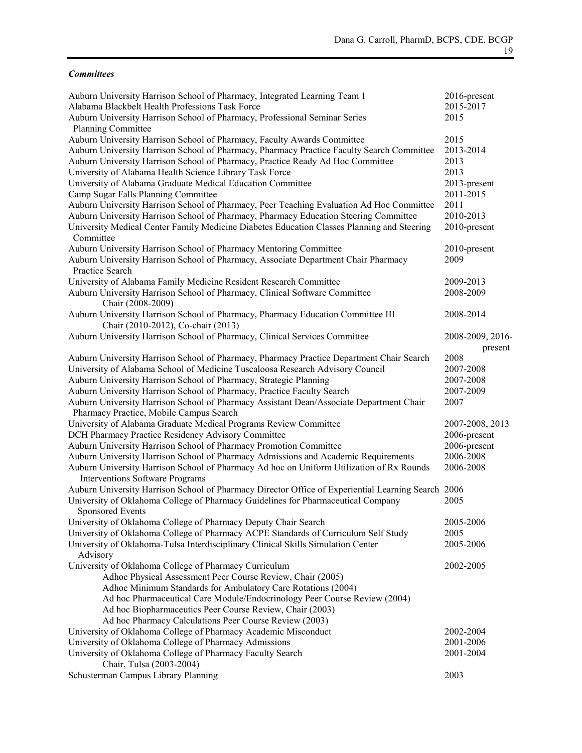### *Committees*

| Auburn University Harrison School of Pharmacy, Integrated Learning Team 1<br>Alabama Blackbelt Health Professions Task Force<br>Auburn University Harrison School of Pharmacy, Professional Seminar Series | 2016-present<br>2015-2017<br>2015 |
|------------------------------------------------------------------------------------------------------------------------------------------------------------------------------------------------------------|-----------------------------------|
| Planning Committee                                                                                                                                                                                         |                                   |
| Auburn University Harrison School of Pharmacy, Faculty Awards Committee                                                                                                                                    | 2015                              |
| Auburn University Harrison School of Pharmacy, Pharmacy Practice Faculty Search Committee                                                                                                                  | 2013-2014                         |
| Auburn University Harrison School of Pharmacy, Practice Ready Ad Hoc Committee                                                                                                                             | 2013                              |
| University of Alabama Health Science Library Task Force                                                                                                                                                    | 2013                              |
| University of Alabama Graduate Medical Education Committee                                                                                                                                                 | 2013-present                      |
| Camp Sugar Falls Planning Committee                                                                                                                                                                        | 2011-2015                         |
| Auburn University Harrison School of Pharmacy, Peer Teaching Evaluation Ad Hoc Committee                                                                                                                   | 2011                              |
| Auburn University Harrison School of Pharmacy, Pharmacy Education Steering Committee                                                                                                                       | 2010-2013                         |
| University Medical Center Family Medicine Diabetes Education Classes Planning and Steering<br>Committee                                                                                                    | 2010-present                      |
| Auburn University Harrison School of Pharmacy Mentoring Committee                                                                                                                                          | 2010-present                      |
| Auburn University Harrison School of Pharmacy, Associate Department Chair Pharmacy                                                                                                                         | 2009                              |
| Practice Search                                                                                                                                                                                            |                                   |
| University of Alabama Family Medicine Resident Research Committee                                                                                                                                          | 2009-2013                         |
| Auburn University Harrison School of Pharmacy, Clinical Software Committee<br>Chair (2008-2009)                                                                                                            | 2008-2009                         |
| Auburn University Harrison School of Pharmacy, Pharmacy Education Committee III<br>Chair (2010-2012), Co-chair (2013)                                                                                      | 2008-2014                         |
| Auburn University Harrison School of Pharmacy, Clinical Services Committee                                                                                                                                 | 2008-2009, 2016-<br>present       |
| Auburn University Harrison School of Pharmacy, Pharmacy Practice Department Chair Search                                                                                                                   | 2008                              |
| University of Alabama School of Medicine Tuscaloosa Research Advisory Council                                                                                                                              | 2007-2008                         |
| Auburn University Harrison School of Pharmacy, Strategic Planning                                                                                                                                          | 2007-2008                         |
| Auburn University Harrison School of Pharmacy, Practice Faculty Search                                                                                                                                     | 2007-2009                         |
| Auburn University Harrison School of Pharmacy Assistant Dean/Associate Department Chair<br>Pharmacy Practice, Mobile Campus Search                                                                         | 2007                              |
| University of Alabama Graduate Medical Programs Review Committee                                                                                                                                           | 2007-2008, 2013                   |
| DCH Pharmacy Practice Residency Advisory Committee                                                                                                                                                         | 2006-present                      |
| Auburn University Harrison School of Pharmacy Promotion Committee                                                                                                                                          | 2006-present                      |
| Auburn University Harrison School of Pharmacy Admissions and Academic Requirements                                                                                                                         | 2006-2008                         |
| Auburn University Harrison School of Pharmacy Ad hoc on Uniform Utilization of Rx Rounds                                                                                                                   | 2006-2008                         |
| Interventions Software Programs                                                                                                                                                                            |                                   |
| Auburn University Harrison School of Pharmacy Director Office of Experiential Learning Search 2006                                                                                                         |                                   |
| University of Oklahoma College of Pharmacy Guidelines for Pharmaceutical Company<br>Sponsored Events                                                                                                       | 2005                              |
| University of Oklahoma College of Pharmacy Deputy Chair Search                                                                                                                                             | 2005-2006                         |
| University of Oklahoma College of Pharmacy ACPE Standards of Curriculum Self Study                                                                                                                         | 2005                              |
| University of Oklahoma-Tulsa Interdisciplinary Clinical Skills Simulation Center<br>Advisory                                                                                                               | 2005-2006                         |
| University of Oklahoma College of Pharmacy Curriculum                                                                                                                                                      | 2002-2005                         |
| Adhoc Physical Assessment Peer Course Review, Chair (2005)                                                                                                                                                 |                                   |
| Adhoc Minimum Standards for Ambulatory Care Rotations (2004)                                                                                                                                               |                                   |
| Ad hoc Pharmaceutical Care Module/Endocrinology Peer Course Review (2004)                                                                                                                                  |                                   |
| Ad hoc Biopharmaceutics Peer Course Review, Chair (2003)                                                                                                                                                   |                                   |
| Ad hoc Pharmacy Calculations Peer Course Review (2003)                                                                                                                                                     |                                   |
| University of Oklahoma College of Pharmacy Academic Misconduct                                                                                                                                             | 2002-2004                         |
| University of Oklahoma College of Pharmacy Admissions                                                                                                                                                      | 2001-2006                         |
| University of Oklahoma College of Pharmacy Faculty Search                                                                                                                                                  | 2001-2004                         |
| Chair, Tulsa (2003-2004)                                                                                                                                                                                   |                                   |
| Schusterman Campus Library Planning                                                                                                                                                                        | 2003                              |